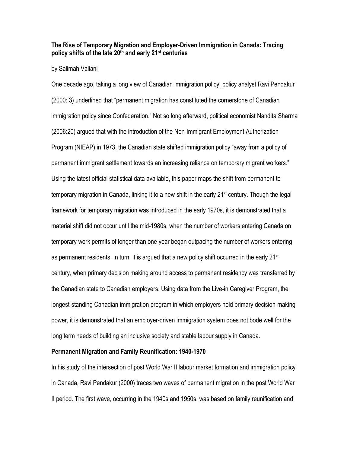## **The Rise of Temporary Migration and Employer-Driven Immigration in Canada: Tracing policy shifts of the late 20th and early 21st centuries**

#### by Salimah Valiani

One decade ago, taking a long view of Canadian immigration policy, policy analyst Ravi Pendakur (2000: 3) underlined that "permanent migration has constituted the cornerstone of Canadian immigration policy since Confederation." Not so long afterward, political economist Nandita Sharma (2006:20) argued that with the introduction of the Non-Immigrant Employment Authorization Program (NIEAP) in 1973, the Canadian state shifted immigration policy "away from a policy of permanent immigrant settlement towards an increasing reliance on temporary migrant workers." Using the latest official statistical data available, this paper maps the shift from permanent to temporary migration in Canada, linking it to a new shift in the early 21<sup>st</sup> century. Though the legal framework for temporary migration was introduced in the early 1970s, it is demonstrated that a material shift did not occur until the mid-1980s, when the number of workers entering Canada on temporary work permits of longer than one year began outpacing the number of workers entering as permanent residents. In turn, it is argued that a new policy shift occurred in the early  $21^{st}$ century, when primary decision making around access to permanent residency was transferred by the Canadian state to Canadian employers. Using data from the Live-in Caregiver Program, the longest-standing Canadian immigration program in which employers hold primary decision-making power, it is demonstrated that an employer-driven immigration system does not bode well for the long term needs of building an inclusive society and stable labour supply in Canada.

#### **Permanent Migration and Family Reunification: 1940-1970**

In his study of the intersection of post World War II labour market formation and immigration policy in Canada, Ravi Pendakur (2000) traces two waves of permanent migration in the post World War II period. The first wave, occurring in the 1940s and 1950s, was based on family reunification and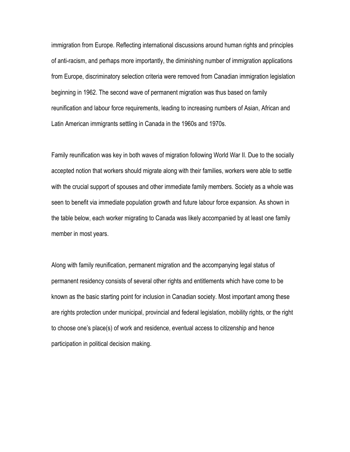immigration from Europe. Reflecting international discussions around human rights and principles of anti-racism, and perhaps more importantly, the diminishing number of immigration applications from Europe, discriminatory selection criteria were removed from Canadian immigration legislation beginning in 1962. The second wave of permanent migration was thus based on family reunification and labour force requirements, leading to increasing numbers of Asian, African and Latin American immigrants settling in Canada in the 1960s and 1970s.

Family reunification was key in both waves of migration following World War II. Due to the socially accepted notion that workers should migrate along with their families, workers were able to settle with the crucial support of spouses and other immediate family members. Society as a whole was seen to benefit via immediate population growth and future labour force expansion. As shown in the table below, each worker migrating to Canada was likely accompanied by at least one family member in most years.

Along with family reunification, permanent migration and the accompanying legal status of permanent residency consists of several other rights and entitlements which have come to be known as the basic starting point for inclusion in Canadian society. Most important among these are rights protection under municipal, provincial and federal legislation, mobility rights, or the right to choose one's place(s) of work and residence, eventual access to citizenship and hence participation in political decision making.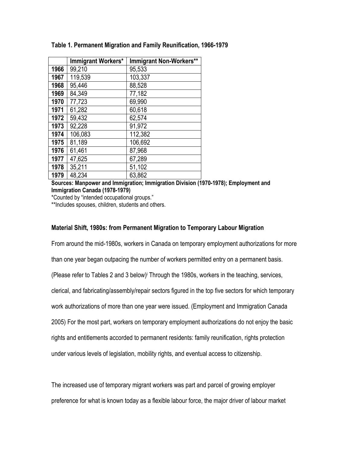|      | Immigrant Workers* | Immigrant Non-Workers** |
|------|--------------------|-------------------------|
| 1966 | 99,210             | 95,533                  |
| 1967 | 119,539            | 103,337                 |
| 1968 | 95,446             | 88,528                  |
| 1969 | 84,349             | 77,182                  |
| 1970 | 77,723             | 69,990                  |
| 1971 | 61,282             | 60,618                  |
| 1972 | 59,432             | 62,574                  |
| 1973 | 92,228             | 91,972                  |
| 1974 | 106,083            | 112,382                 |
| 1975 | 81,189             | 106,692                 |
| 1976 | 61,461             | 87,968                  |
| 1977 | 47,625             | 67,289                  |
| 1978 | 35,211             | 51,102                  |
| 1979 | 48,234             | 63,862                  |

## **Table 1. Permanent Migration and Family Reunification, 1966-1979**

**Sources: Manpower and Immigration; Immigration Division (1970-1978); Employment and Immigration Canada (1978-1979)** 

\*Counted by "intended occupational groups."

\*\*Includes spouses, children, students and others.

### **Material Shift, 1980s: from Permanent Migration to Temporary Labour Migration**

From around the mid-1980s, workers in Canada on temporary employment authorizations for more than one year began outpacing the number of workers permitted entry on a permanent basis. (Please refer to Tables 2 and 3 below)i Through the 1980s, workers in the teaching, services, clerical, and fabricating/assembly/repair sectors figured in the top five sectors for which temporary work authorizations of more than one year were issued. (Employment and Immigration Canada 2005) For the most part, workers on temporary employment authorizations do not enjoy the basic rights and entitlements accorded to permanent residents: family reunification, rights protection under various levels of legislation, mobility rights, and eventual access to citizenship.

The increased use of temporary migrant workers was part and parcel of growing employer preference for what is known today as a flexible labour force, the major driver of labour market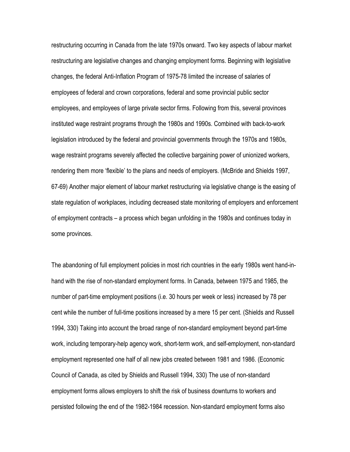restructuring occurring in Canada from the late 1970s onward. Two key aspects of labour market restructuring are legislative changes and changing employment forms. Beginning with legislative changes, the federal Anti-Inflation Program of 1975-78 limited the increase of salaries of employees of federal and crown corporations, federal and some provincial public sector employees, and employees of large private sector firms. Following from this, several provinces instituted wage restraint programs through the 1980s and 1990s. Combined with back-to-work legislation introduced by the federal and provincial governments through the 1970s and 1980s, wage restraint programs severely affected the collective bargaining power of unionized workers, rendering them more 'flexible' to the plans and needs of employers. (McBride and Shields 1997, 67-69) Another major element of labour market restructuring via legislative change is the easing of state regulation of workplaces, including decreased state monitoring of employers and enforcement of employment contracts – a process which began unfolding in the 1980s and continues today in some provinces.

The abandoning of full employment policies in most rich countries in the early 1980s went hand-inhand with the rise of non-standard employment forms. In Canada, between 1975 and 1985, the number of part-time employment positions (i.e. 30 hours per week or less) increased by 78 per cent while the number of full-time positions increased by a mere 15 per cent. (Shields and Russell 1994, 330) Taking into account the broad range of non-standard employment beyond part-time work, including temporary-help agency work, short-term work, and self-employment, non-standard employment represented one half of all new jobs created between 1981 and 1986. (Economic Council of Canada, as cited by Shields and Russell 1994, 330) The use of non-standard employment forms allows employers to shift the risk of business downturns to workers and persisted following the end of the 1982-1984 recession. Non-standard employment forms also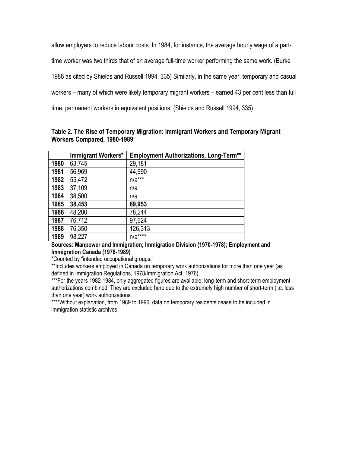allow employers to reduce labour costs. In 1984, for instance, the average hourly wage of a parttime worker was two thirds that of an average full-time worker performing the same work. (Burke 1986 as cited by Shields and Russell 1994, 335) Similarly, in the same year, temporary and casual workers – many of which were likely temporary migrant workers – earned 43 per cent less than full time, permanent workers in equivalent positions. (Shields and Russell 1994, 335)

| Table 2. The Rise of Temporary Migration: Immigrant Workers and Temporary Migrant |  |
|-----------------------------------------------------------------------------------|--|
| Workers Compared, 1980-1989                                                       |  |

|      | Immigrant Workers* | <b>Employment Authorizations, Long-Term**</b> |
|------|--------------------|-----------------------------------------------|
| 1980 | 63,745             | 29,181                                        |
| 1981 | 56,969             | 44,990                                        |
| 1982 | 55,472             | $n/a***$                                      |
| 1983 | 37,109             | n/a                                           |
| 1984 | 38,500             | n/a                                           |
| 1985 | 38,453             | 69,953                                        |
| 1986 | 48,200             | 78,244                                        |
| 1987 | 76,712             | 97,624                                        |
| 1988 | 76,350             | 126,313                                       |
| 1989 | 98,227             | $n/a***$                                      |

**Sources: Manpower and Immigration; Immigration Division (1970-1978); Employment and Immigration Canada (1978-1989)** 

\*Counted by "intended occupational groups."

\*\*Includes workers employed in Canada on temporary work authorizations for more than one year (as defined in Immigration Regulations, 1978/Immigration Act, 1976).

\*\*\*For the years 1982-1984, only aggregated figures are available: long-term and short-term employment authorizations combined. They are excluded here due to the extremely high number of short-term (i.e. less than one year) work authorizations.

\*\*\*\*Without explanation, from 1989 to 1996, data on temporary residents cease to be included in immigration statistic archives.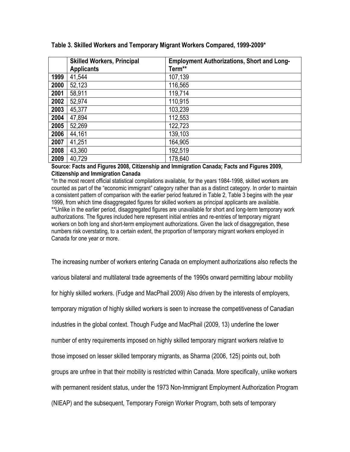|      | <b>Skilled Workers, Principal</b><br><b>Applicants</b> | <b>Employment Authorizations, Short and Long-</b><br>Term** |
|------|--------------------------------------------------------|-------------------------------------------------------------|
| 1999 | 41,544                                                 | 107,139                                                     |
| 2000 | 52,123                                                 | 116,565                                                     |
| 2001 | 58,911                                                 | 119,714                                                     |
| 2002 | 52,974                                                 | 110,915                                                     |
| 2003 | 45,377                                                 | 103,239                                                     |
| 2004 | 47,894                                                 | 112,553                                                     |
| 2005 | 52,269                                                 | 122,723                                                     |
| 2006 | 44,161                                                 | 139,103                                                     |
| 2007 | 41,251                                                 | 164,905                                                     |
| 2008 | 43,360                                                 | 192,519                                                     |
| 2009 | 40,729                                                 | 178,640                                                     |

## **Source: Facts and Figures 2008, Citizenship and Immigration Canada; Facts and Figures 2009, Citizenship and Immigration Canada**

\*In the most recent official statistical compilations available, for the years 1984-1998, skilled workers are counted as part of the "economic immigrant" category rather than as a distinct category. In order to maintain a consistent pattern of comparison with the earlier period featured in Table 2, Table 3 begins with the year 1999, from which time disaggregated figures for skilled workers as principal applicants are available. \*\*Unlike in the earlier period, disaggregated figures are unavailable for short and long-term temporary work authorizations. The figures included here represent initial entries and re-entries of temporary migrant workers on both long and short-term employment authorizations. Given the lack of disaggregation, these numbers risk overstating, to a certain extent, the proportion of temporary migrant workers employed in Canada for one year or more.

The increasing number of workers entering Canada on employment authorizations also reflects the various bilateral and multilateral trade agreements of the 1990s onward permitting labour mobility for highly skilled workers. (Fudge and MacPhail 2009) Also driven by the interests of employers, temporary migration of highly skilled workers is seen to increase the competitiveness of Canadian industries in the global context. Though Fudge and MacPhail (2009, 13) underline the lower number of entry requirements imposed on highly skilled temporary migrant workers relative to those imposed on lesser skilled temporary migrants, as Sharma (2006, 125) points out, both groups are unfree in that their mobility is restricted within Canada. More specifically, unlike workers with permanent resident status, under the 1973 Non-Immigrant Employment Authorization Program (NIEAP) and the subsequent, Temporary Foreign Worker Program, both sets of temporary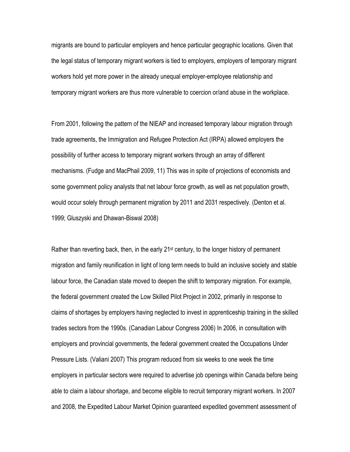migrants are bound to particular employers and hence particular geographic locations. Given that the legal status of temporary migrant workers is tied to employers, employers of temporary migrant workers hold yet more power in the already unequal employer-employee relationship and temporary migrant workers are thus more vulnerable to coercion or/and abuse in the workplace.

From 2001, following the pattern of the NIEAP and increased temporary labour migration through trade agreements, the Immigration and Refugee Protection Act (IRPA) allowed employers the possibility of further access to temporary migrant workers through an array of different mechanisms. (Fudge and MacPhail 2009, 11) This was in spite of projections of economists and some government policy analysts that net labour force growth, as well as net population growth, would occur solely through permanent migration by 2011 and 2031 respectively. (Denton et al. 1999; Gluszyski and Dhawan-Biswal 2008)

Rather than reverting back, then, in the early  $21<sup>st</sup>$  century, to the longer history of permanent migration and family reunification in light of long term needs to build an inclusive society and stable labour force, the Canadian state moved to deepen the shift to temporary migration. For example, the federal government created the Low Skilled Pilot Project in 2002, primarily in response to claims of shortages by employers having neglected to invest in apprenticeship training in the skilled trades sectors from the 1990s. (Canadian Labour Congress 2006) In 2006, in consultation with employers and provincial governments, the federal government created the Occupations Under Pressure Lists. (Valiani 2007) This program reduced from six weeks to one week the time employers in particular sectors were required to advertise job openings within Canada before being able to claim a labour shortage, and become eligible to recruit temporary migrant workers. In 2007 and 2008, the Expedited Labour Market Opinion guaranteed expedited government assessment of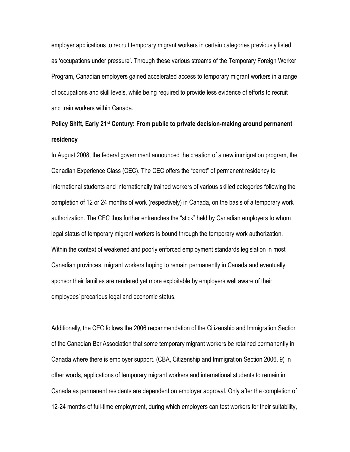employer applications to recruit temporary migrant workers in certain categories previously listed as 'occupations under pressure'. Through these various streams of the Temporary Foreign Worker Program, Canadian employers gained accelerated access to temporary migrant workers in a range of occupations and skill levels, while being required to provide less evidence of efforts to recruit and train workers within Canada.

# **Policy Shift, Early 21st Century: From public to private decision-making around permanent residency**

In August 2008, the federal government announced the creation of a new immigration program, the Canadian Experience Class (CEC). The CEC offers the "carrot" of permanent residency to international students and internationally trained workers of various skilled categories following the completion of 12 or 24 months of work (respectively) in Canada, on the basis of a temporary work authorization. The CEC thus further entrenches the "stick" held by Canadian employers to whom legal status of temporary migrant workers is bound through the temporary work authorization. Within the context of weakened and poorly enforced employment standards legislation in most Canadian provinces, migrant workers hoping to remain permanently in Canada and eventually sponsor their families are rendered yet more exploitable by employers well aware of their employees' precarious legal and economic status.

Additionally, the CEC follows the 2006 recommendation of the Citizenship and Immigration Section of the Canadian Bar Association that some temporary migrant workers be retained permanently in Canada where there is employer support. (CBA, Citizenship and Immigration Section 2006, 9) In other words, applications of temporary migrant workers and international students to remain in Canada as permanent residents are dependent on employer approval. Only after the completion of 12-24 months of full-time employment, during which employers can test workers for their suitability,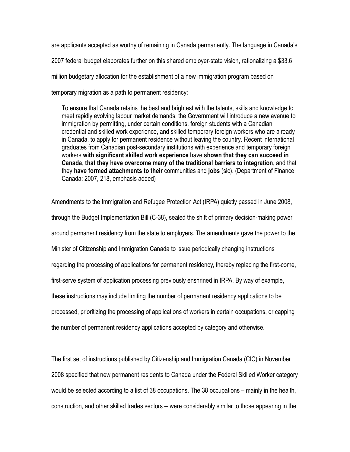are applicants accepted as worthy of remaining in Canada permanently. The language in Canada's 2007 federal budget elaborates further on this shared employer-state vision, rationalizing a \$33.6 million budgetary allocation for the establishment of a new immigration program based on temporary migration as a path to permanent residency:

To ensure that Canada retains the best and brightest with the talents, skills and knowledge to meet rapidly evolving labour market demands, the Government will introduce a new avenue to immigration by permitting, under certain conditions, foreign students with a Canadian credential and skilled work experience, and skilled temporary foreign workers who are already in Canada, to apply for permanent residence without leaving the country. Recent international graduates from Canadian post-secondary institutions with experience and temporary foreign workers **with significant skilled work experience** have **shown that they can succeed in Canada**, **that they have overcome many of the traditional barriers to integration**, and that they **have formed attachments to their** communities and **jobs** (sic). (Department of Finance Canada: 2007, 218, emphasis added)

Amendments to the Immigration and Refugee Protection Act (IRPA) quietly passed in June 2008, through the Budget Implementation Bill (C-38), sealed the shift of primary decision-making power around permanent residency from the state to employers. The amendments gave the power to the Minister of Citizenship and Immigration Canada to issue periodically changing instructions regarding the processing of applications for permanent residency, thereby replacing the first-come, first-serve system of application processing previously enshrined in IRPA. By way of example, these instructions may include limiting the number of permanent residency applications to be processed, prioritizing the processing of applications of workers in certain occupations, or capping the number of permanent residency applications accepted by category and otherwise.

The first set of instructions published by Citizenship and Immigration Canada (CIC) in November 2008 specified that new permanent residents to Canada under the Federal Skilled Worker category would be selected according to a list of 38 occupations. The 38 occupations – mainly in the health, construction, and other skilled trades sectors – were considerably similar to those appearing in the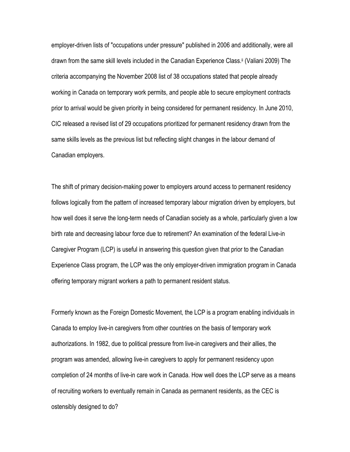employer-driven lists of "occupations under pressure" published in 2006 and additionally, were all drawn from the same skill levels included in the Canadian Experience Class.ii (Valiani 2009) The criteria accompanying the November 2008 list of 38 occupations stated that people already working in Canada on temporary work permits, and people able to secure employment contracts prior to arrival would be given priority in being considered for permanent residency. In June 2010, CIC released a revised list of 29 occupations prioritized for permanent residency drawn from the same skills levels as the previous list but reflecting slight changes in the labour demand of Canadian employers.

The shift of primary decision-making power to employers around access to permanent residency follows logically from the pattern of increased temporary labour migration driven by employers, but how well does it serve the long-term needs of Canadian society as a whole, particularly given a low birth rate and decreasing labour force due to retirement? An examination of the federal Live-in Caregiver Program (LCP) is useful in answering this question given that prior to the Canadian Experience Class program, the LCP was the only employer-driven immigration program in Canada offering temporary migrant workers a path to permanent resident status.

Formerly known as the Foreign Domestic Movement, the LCP is a program enabling individuals in Canada to employ live-in caregivers from other countries on the basis of temporary work authorizations. In 1982, due to political pressure from live-in caregivers and their allies, the program was amended, allowing live-in caregivers to apply for permanent residency upon completion of 24 months of live-in care work in Canada. How well does the LCP serve as a means of recruiting workers to eventually remain in Canada as permanent residents, as the CEC is ostensibly designed to do?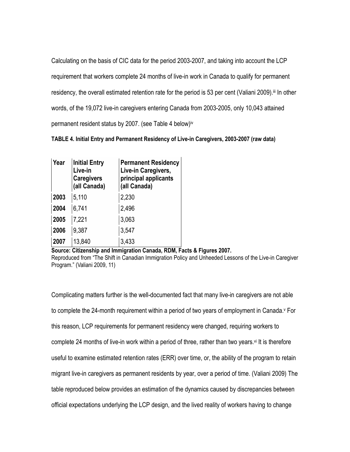Calculating on the basis of CIC data for the period 2003-2007, and taking into account the LCP requirement that workers complete 24 months of live-in work in Canada to qualify for permanent residency, the overall estimated retention rate for the period is 53 per cent (Valiani 2009).<sup>iii</sup> In other words, of the 19,072 live-in caregivers entering Canada from 2003-2005, only 10,043 attained permanent resident status by 2007. (see Table 4 below)iv

**TABLE 4. Initial Entry and Permanent Residency of Live-in Caregivers, 2003-2007 (raw data)** 

| Year | <b>Initial Entry</b><br>Live-in<br><b>Caregivers</b><br>(all Canada) | <b>Permanent Residency</b><br>Live-in Caregivers,<br>principal applicants<br>(all Canada) |
|------|----------------------------------------------------------------------|-------------------------------------------------------------------------------------------|
| 2003 | 5,110                                                                | 2,230                                                                                     |
| 2004 | 6,741                                                                | 2,496                                                                                     |
| 2005 | 7,221                                                                | 3,063                                                                                     |
| 2006 | 9,387                                                                | 3,547                                                                                     |
| 2007 | 13,840                                                               | 3,433                                                                                     |

**Source: Citizenship and Immigration Canada, RDM, Facts & Figures 2007.**  Reproduced from "The Shift in Canadian Immigration Policy and Unheeded Lessons of the Live-in Caregiver

Complicating matters further is the well-documented fact that many live-in caregivers are not able to complete the 24-month requirement within a period of two years of employment in Canada. $v$  For this reason, LCP requirements for permanent residency were changed, requiring workers to complete 24 months of live-in work within a period of three, rather than two years. $\nu$  It is therefore useful to examine estimated retention rates (ERR) over time, or, the ability of the program to retain migrant live-in caregivers as permanent residents by year, over a period of time. (Valiani 2009) The table reproduced below provides an estimation of the dynamics caused by discrepancies between official expectations underlying the LCP design, and the lived reality of workers having to change

Program." (Valiani 2009, 11)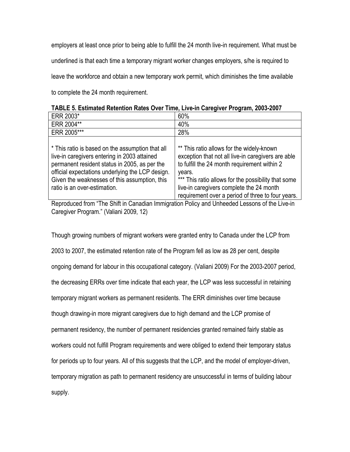employers at least once prior to being able to fulfill the 24 month live-in requirement. What must be underlined is that each time a temporary migrant worker changes employers, s/he is required to leave the workforce and obtain a new temporary work permit, which diminishes the time available to complete the 24 month requirement.

| ERR 2003*                                                                                                                                                                                                                                                                              | 60%                                                                                                                                                                                                                                                          |
|----------------------------------------------------------------------------------------------------------------------------------------------------------------------------------------------------------------------------------------------------------------------------------------|--------------------------------------------------------------------------------------------------------------------------------------------------------------------------------------------------------------------------------------------------------------|
| ERR 2004**                                                                                                                                                                                                                                                                             | 40%                                                                                                                                                                                                                                                          |
| ERR 2005***                                                                                                                                                                                                                                                                            | 28%                                                                                                                                                                                                                                                          |
| * This ratio is based on the assumption that all<br>live-in caregivers entering in 2003 attained<br>permanent resident status in 2005, as per the<br>official expectations underlying the LCP design.<br>Given the weaknesses of this assumption, this<br>ratio is an over-estimation. | ** This ratio allows for the widely-known<br>exception that not all live-in caregivers are able<br>to fulfill the 24 month requirement within 2<br>years.<br>*** This ratio allows for the possibility that some<br>live-in caregivers complete the 24 month |
|                                                                                                                                                                                                                                                                                        | requirement over a period of three to four years.                                                                                                                                                                                                            |

**TABLE 5. Estimated Retention Rates Over Time, Live-in Caregiver Program, 2003-2007**

Reproduced from "The Shift in Canadian Immigration Policy and Unheeded Lessons of the Live-in Caregiver Program." (Valiani 2009, 12)

Though growing numbers of migrant workers were granted entry to Canada under the LCP from 2003 to 2007, the estimated retention rate of the Program fell as low as 28 per cent, despite ongoing demand for labour in this occupational category. (Valiani 2009) For the 2003-2007 period, the decreasing ERRs over time indicate that each year, the LCP was less successful in retaining temporary migrant workers as permanent residents. The ERR diminishes over time because though drawing-in more migrant caregivers due to high demand and the LCP promise of permanent residency, the number of permanent residencies granted remained fairly stable as workers could not fulfill Program requirements and were obliged to extend their temporary status for periods up to four years. All of this suggests that the LCP, and the model of employer-driven, temporary migration as path to permanent residency are unsuccessful in terms of building labour supply.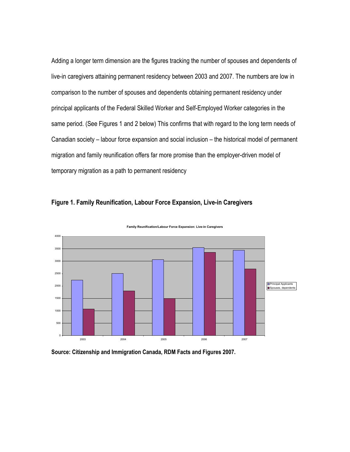Adding a longer term dimension are the figures tracking the number of spouses and dependents of live-in caregivers attaining permanent residency between 2003 and 2007. The numbers are low in comparison to the number of spouses and dependents obtaining permanent residency under principal applicants of the Federal Skilled Worker and Self-Employed Worker categories in the same period. (See Figures 1 and 2 below) This confirms that with regard to the long term needs of Canadian society – labour force expansion and social inclusion – the historical model of permanent migration and family reunification offers far more promise than the employer-driven model of temporary migration as a path to permanent residency

# **Figure 1. Family Reunification, Labour Force Expansion, Live-in Caregivers**



**Family Reunification/Labour Force Expansion: Live-in Caregivers**

**Source: Citizenship and Immigration Canada, RDM Facts and Figures 2007.**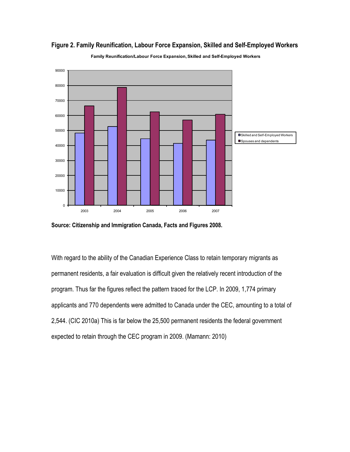



**Family Reunification/Labour Force Expansion, Skilled and Self-Employed Workers**

With regard to the ability of the Canadian Experience Class to retain temporary migrants as permanent residents, a fair evaluation is difficult given the relatively recent introduction of the program. Thus far the figures reflect the pattern traced for the LCP. In 2009, 1,774 primary applicants and 770 dependents were admitted to Canada under the CEC, amounting to a total of 2,544. (CIC 2010a) This is far below the 25,500 permanent residents the federal government expected to retain through the CEC program in 2009. (Mamann: 2010)

**Source: Citizenship and Immigration Canada, Facts and Figures 2008.**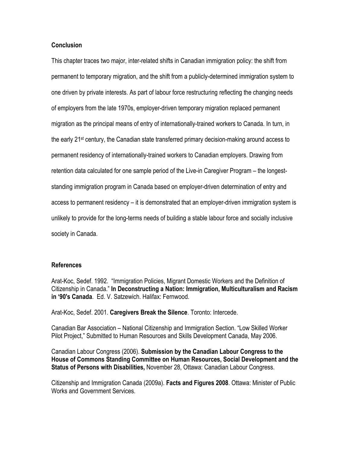## **Conclusion**

This chapter traces two major, inter-related shifts in Canadian immigration policy: the shift from permanent to temporary migration, and the shift from a publicly-determined immigration system to one driven by private interests. As part of labour force restructuring reflecting the changing needs of employers from the late 1970s, employer-driven temporary migration replaced permanent migration as the principal means of entry of internationally-trained workers to Canada. In turn, in the early 21st century, the Canadian state transferred primary decision-making around access to permanent residency of internationally-trained workers to Canadian employers. Drawing from retention data calculated for one sample period of the Live-in Caregiver Program – the longeststanding immigration program in Canada based on employer-driven determination of entry and access to permanent residency – it is demonstrated that an employer-driven immigration system is unlikely to provide for the long-terms needs of building a stable labour force and socially inclusive society in Canada.

## **References**

Arat-Koc, Sedef. 1992. "Immigration Policies, Migrant Domestic Workers and the Definition of Citizenship in Canada." **In Deconstructing a Nation: Immigration, Multiculturalism and Racism in '90's Canada**. Ed. V. Satzewich. Halifax: Fernwood.

Arat-Koc, Sedef. 2001. **Caregivers Break the Silence**. Toronto: Intercede.

Canadian Bar Association – National Citizenship and Immigration Section. "Low Skilled Worker Pilot Project," Submitted to Human Resources and Skills Development Canada, May 2006.

Canadian Labour Congress (2006). **Submission by the Canadian Labour Congress to the House of Commons Standing Committee on Human Resources, Social Development and the Status of Persons with Disabilities,** November 28, Ottawa: Canadian Labour Congress.

Citizenship and Immigration Canada (2009a). **Facts and Figures 2008**. Ottawa: Minister of Public Works and Government Services.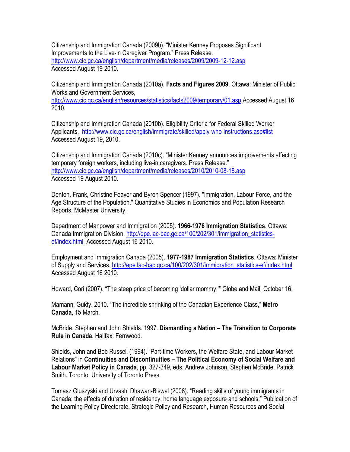Citizenship and Immigration Canada (2009b). "Minister Kenney Proposes Significant Improvements to the Live-in Caregiver Program." Press Release. http://www.cic.gc.ca/english/department/media/releases/2009/2009-12-12.asp Accessed August 19 2010.

Citizenship and Immigration Canada (2010a). **Facts and Figures 2009**. Ottawa: Minister of Public Works and Government Services,

http://www.cic.gc.ca/english/resources/statistics/facts2009/temporary/01.asp Accessed August 16 2010.

Citizenship and Immigration Canada (2010b). Eligibility Criteria for Federal Skilled Worker Applicants. http://www.cic.gc.ca/english/immigrate/skilled/apply-who-instructions.asp#list Accessed August 19, 2010.

Citizenship and Immigration Canada (2010c). "Minister Kenney announces improvements affecting temporary foreign workers, including live-in caregivers. Press Release." http://www.cic.gc.ca/english/department/media/releases/2010/2010-08-18.asp Accessed 19 August 2010.

Denton, Frank, Christine Feaver and Byron Spencer (1997). "Immigration, Labour Force, and the Age Structure of the Population." Quantitative Studies in Economics and Population Research Reports. McMaster University.

Department of Manpower and Immigration (2005). **1966-1976 Immigration Statistics**. Ottawa: Canada Immigration Division. http://epe.lac-bac.gc.ca/100/202/301/immigration\_statisticsef/index.html Accessed August 16 2010.

Employment and Immigration Canada (2005). **1977-1987 Immigration Statistics**. Ottawa: Minister of Supply and Services. http://epe.lac-bac.gc.ca/100/202/301/immigration\_statistics-ef/index.html Accessed August 16 2010.

Howard, Cori (2007). "The steep price of becoming 'dollar mommy,'" Globe and Mail, October 16.

Mamann, Guidy. 2010. "The incredible shrinking of the Canadian Experience Class," **Metro Canada**, 15 March.

McBride, Stephen and John Shields. 1997. **Dismantling a Nation – The Transition to Corporate Rule in Canada**. Halifax: Fernwood.

Shields, John and Bob Russell (1994). "Part-time Workers, the Welfare State, and Labour Market Relations" in **Continuities and Discontinuities – The Political Economy of Social Welfare and Labour Market Policy in Canada**, pp. 327-349, eds. Andrew Johnson, Stephen McBride, Patrick Smith. Toronto: University of Toronto Press.

Tomasz Gluszyski and Urvashi Dhawan-Biswal (2008). "Reading skills of young immigrants in Canada: the effects of duration of residency, home language exposure and schools." Publication of the Learning Policy Directorate, Strategic Policy and Research, Human Resources and Social